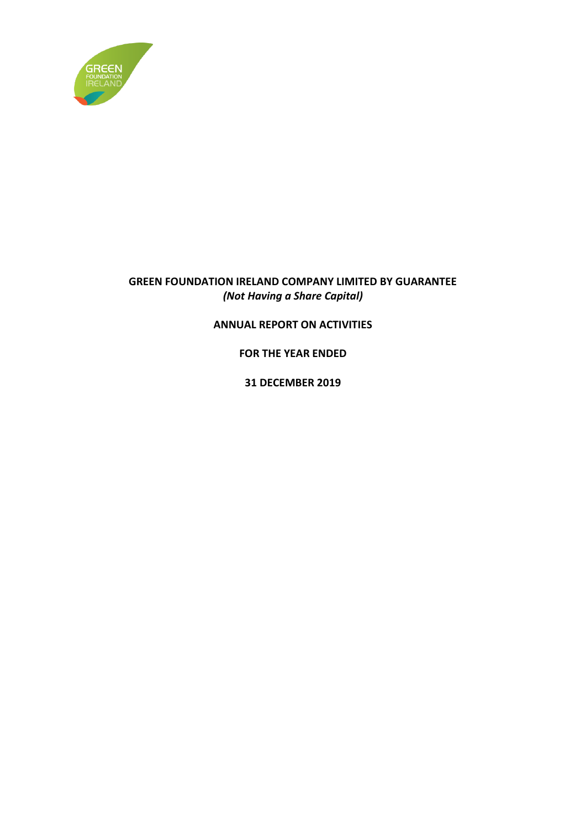

### **GREEN FOUNDATION IRELAND COMPANY LIMITED BY GUARANTEE** *(Not Having a Share Capital)*

### **ANNUAL REPORT ON ACTIVITIES**

**FOR THE YEAR ENDED**

**31 DECEMBER 2019**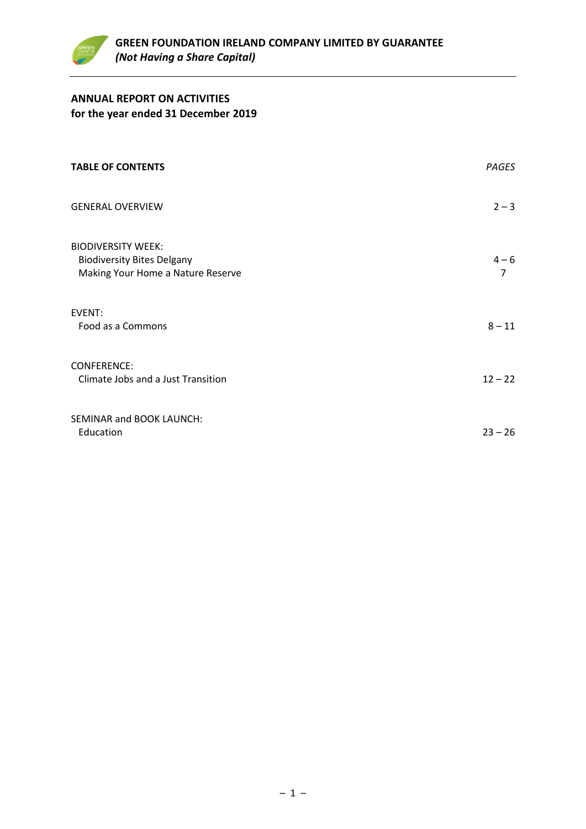

### **ANNUAL REPORT ON ACTIVITIES for the year ended 31 December 2019**

| <b>TABLE OF CONTENTS</b>                                                                            | PAGES        |
|-----------------------------------------------------------------------------------------------------|--------------|
| <b>GENERAL OVERVIEW</b>                                                                             | $2 - 3$      |
| <b>BIODIVERSITY WEEK:</b><br><b>Biodiversity Bites Delgany</b><br>Making Your Home a Nature Reserve | $4 - 6$<br>7 |
| EVENT:<br>Food as a Commons                                                                         | $8 - 11$     |
| <b>CONFERENCE:</b><br>Climate Jobs and a Just Transition                                            | $12 - 22$    |
| SEMINAR and BOOK LAUNCH:<br>Education                                                               | $23 - 26$    |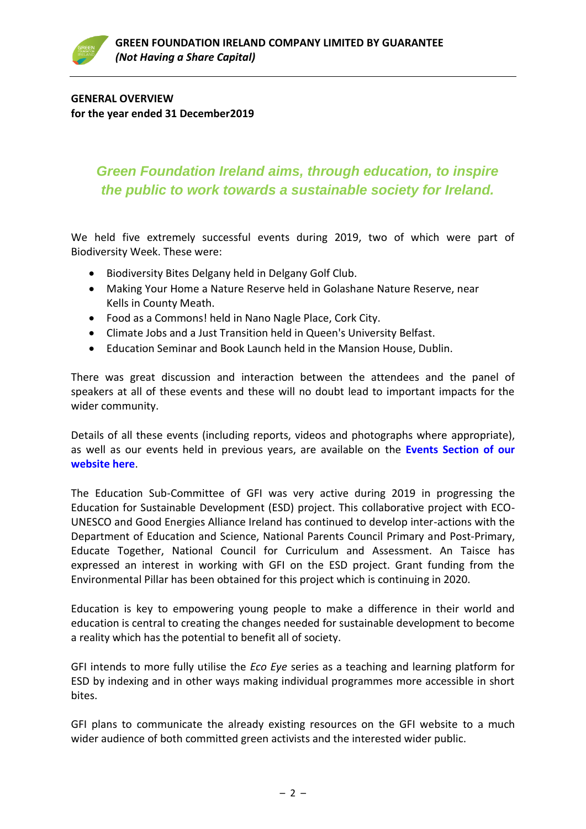### **GENERAL OVERVIEW for the year ended 31 December2019**

### *Green Foundation Ireland aims, through education, to inspire the public to work towards a sustainable society for Ireland.*

We held five extremely successful events during 2019, two of which were part of Biodiversity Week. These were:

- Biodiversity Bites Delgany held in Delgany Golf Club.
- Making Your Home a Nature Reserve held in Golashane Nature Reserve, near Kells in County Meath.
- Food as a Commons! held in Nano Nagle Place, Cork City.
- Climate Jobs and a Just Transition held in Queen's University Belfast.
- Education Seminar and Book Launch held in the Mansion House, Dublin.

There was great discussion and interaction between the attendees and the panel of speakers at all of these events and these will no doubt lead to important impacts for the wider community.

Details of all these events (including reports, videos and photographs where appropriate), as well as our events held in previous years, are available on the **[Events Section of our](https://www.greenfoundationireland.ie/events/)  [website here](https://www.greenfoundationireland.ie/events/)**.

The Education Sub-Committee of GFI was very active during 2019 in progressing the Education for Sustainable Development (ESD) project. This collaborative project with ECO-UNESCO and Good Energies Alliance Ireland has continued to develop inter-actions with the Department of Education and Science, National Parents Council Primary and Post-Primary, Educate Together, National Council for Curriculum and Assessment. An Taisce has expressed an interest in working with GFI on the ESD project. Grant funding from the Environmental Pillar has been obtained for this project which is continuing in 2020.

Education is key to empowering young people to make a difference in their world and education is central to creating the changes needed for sustainable development to become a reality which has the potential to benefit all of society.

GFI intends to more fully utilise the *Eco Eye* series as a teaching and learning platform for ESD by indexing and in other ways making individual programmes more accessible in short bites.

GFI plans to communicate the already existing resources on the GFI website to a much wider audience of both committed green activists and the interested wider public.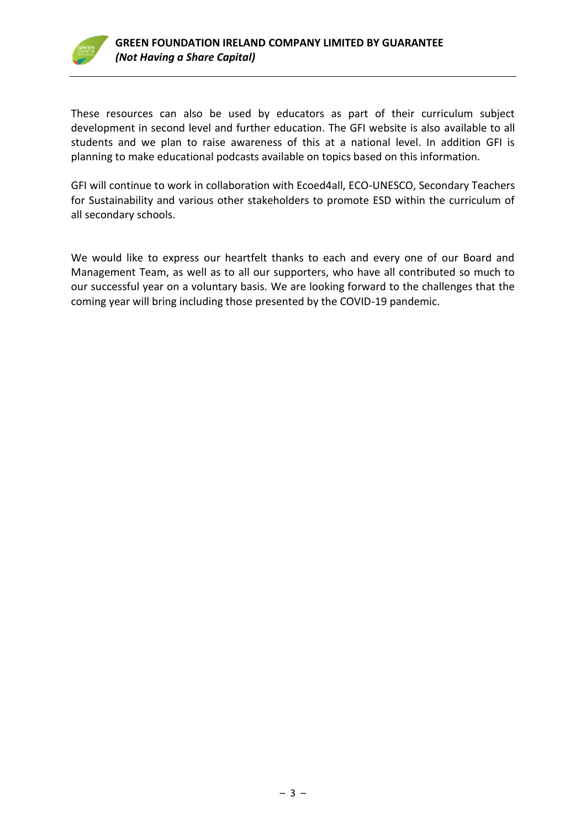

These resources can also be used by educators as part of their curriculum subject development in second level and further education. The GFI website is also available to all students and we plan to raise awareness of this at a national level. In addition GFI is planning to make educational podcasts available on topics based on this information.

GFI will continue to work in collaboration with Ecoed4all, ECO-UNESCO, Secondary Teachers for Sustainability and various other stakeholders to promote ESD within the curriculum of all secondary schools.

We would like to express our heartfelt thanks to each and every one of our Board and Management Team, as well as to all our supporters, who have all contributed so much to our successful year on a voluntary basis. We are looking forward to the challenges that the coming year will bring including those presented by the COVID-19 pandemic.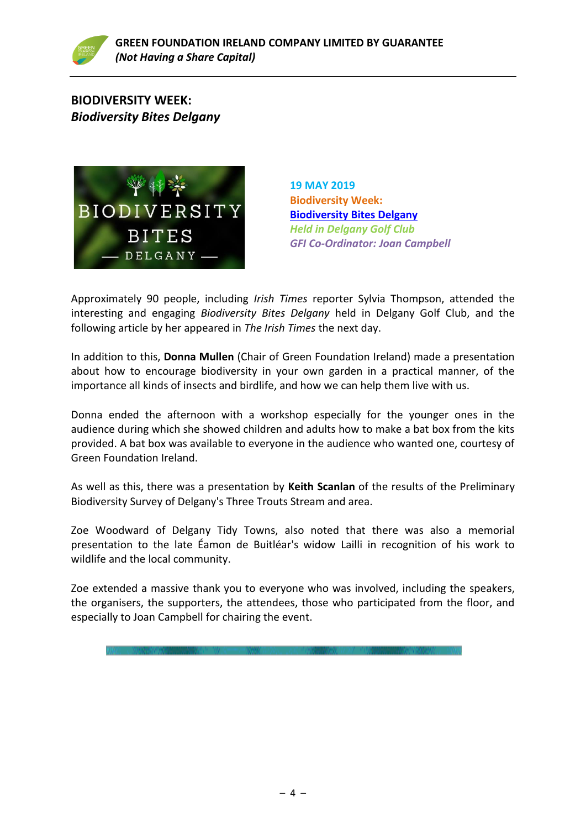

### **BIODIVERSITY WEEK:** *Biodiversity Bites Delgany*



**19 MAY 2019 Biodiversity Week: [Biodiversity Bites Delgany](https://www.greenfoundationireland.ie/biodiversity-weekbiodiversity-bites-delgany19-may-2019/)** *Held in Delgany Golf Club GFI Co-Ordinator: Joan Campbell*

Approximately 90 people, including *Irish Times* reporter Sylvia Thompson, attended the interesting and engaging *Biodiversity Bites Delgany* held in Delgany Golf Club, and the following article by her appeared in *The Irish Times* the next day.

In addition to this, **Donna Mullen** (Chair of Green Foundation Ireland) made a presentation about how to encourage biodiversity in your own garden in a practical manner, of the importance all kinds of insects and birdlife, and how we can help them live with us.

Donna ended the afternoon with a workshop especially for the younger ones in the audience during which she showed children and adults how to make a bat box from the kits provided. A bat box was available to everyone in the audience who wanted one, courtesy of Green Foundation Ireland.

As well as this, there was a presentation by **Keith Scanlan** of the results of the Preliminary Biodiversity Survey of Delgany's Three Trouts Stream and area.

Zoe Woodward of Delgany Tidy Towns, also noted that there was also a memorial presentation to the late Éamon de Buitléar's widow Lailli in recognition of his work to wildlife and the local community.

Zoe extended a massive thank you to everyone who was involved, including the speakers, the organisers, the supporters, the attendees, those who participated from the floor, and especially to Joan Campbell for chairing the event.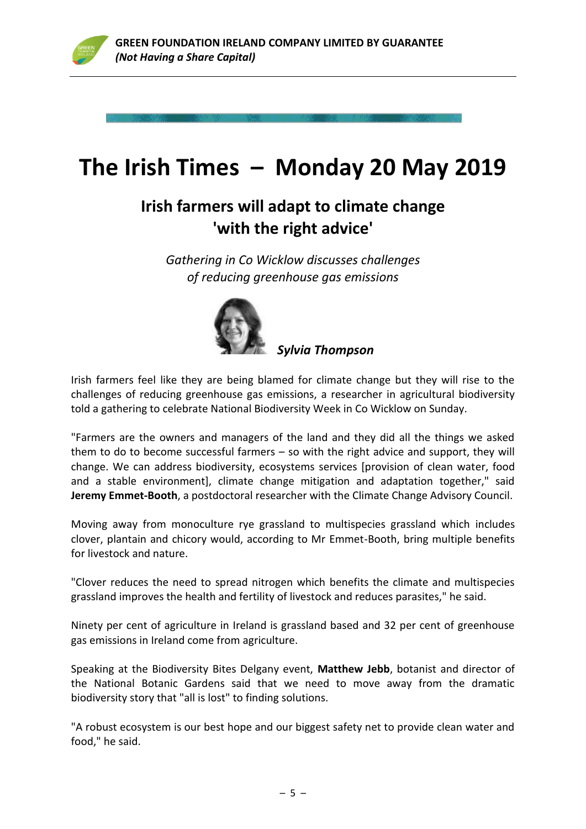

# **The Irish Times – Monday 20 May 2019**

## **Irish farmers will adapt to climate change 'with the right advice'**

*Gathering in Co Wicklow discusses challenges of reducing greenhouse gas emissions*



*Sylvia Thompso[n](http://www.irishtimes.com/opinion/ireland-s-flood-problem-is-small-but-a-rethink-is-required-1.2497083#comments)*

Irish farmers feel like they are being blamed for climate change but they will rise to the challenges of reducing greenhouse gas emissions, a researcher in agricultural biodiversity told a gathering to celebrate National Biodiversity Week in Co Wicklow on Sunday.

"Farmers are the owners and managers of the land and they did all the things we asked them to do to become successful farmers – so with the right advice and support, they will change. We can address biodiversity, ecosystems services [provision of clean water, food and a stable environment], climate change mitigation and adaptation together," said **Jeremy Emmet-Booth**, a postdoctoral researcher with the Climate Change Advisory Council.

Moving away from monoculture rye grassland to multispecies grassland which includes clover, plantain and chicory would, according to Mr Emmet-Booth, bring multiple benefits for livestock and nature.

"Clover reduces the need to spread nitrogen which benefits the climate and multispecies grassland improves the health and fertility of livestock and reduces parasites," he said.

Ninety per cent of agriculture in Ireland is grassland based and 32 per cent of greenhouse gas emissions in Ireland come from agriculture.

Speaking at the Biodiversity Bites Delgany event, **[Matthew Jebb](https://www.irishtimes.com/topics/topics-7.1213540?article=true&tag_person=Matthew+Jebb)**, botanist and director of the National Botanic Gardens said that we need to move away from the dramatic biodiversity story that "all is lost" to finding solutions.

"A robust ecosystem is our best hope and our biggest safety net to provide clean water and food," he said.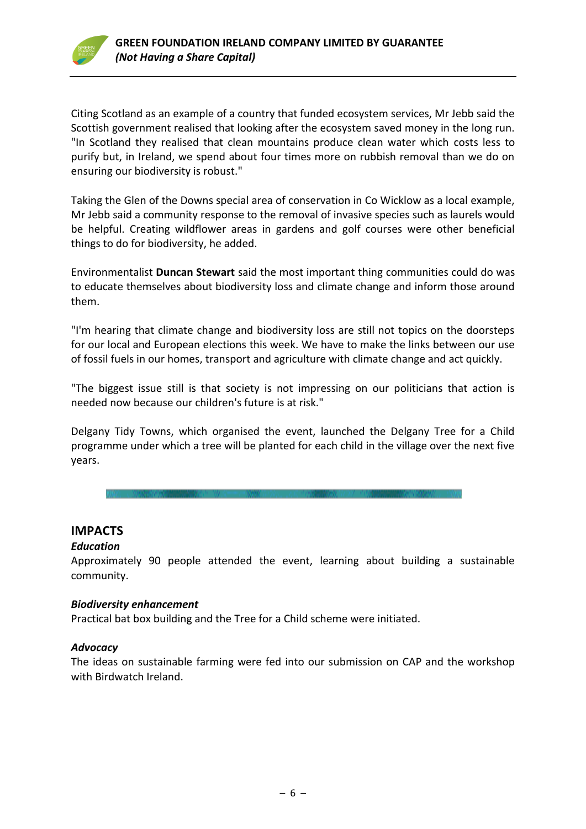

Citing Scotland as an example of a country that funded ecosystem services, Mr Jebb said the Scottish government realised that looking after the ecosystem saved money in the long run. "In Scotland they realised that clean mountains produce clean water which costs less to purify but, in Ireland, we spend about four times more on rubbish removal than we do on ensuring our biodiversity is robust."

Taking the Glen of the Downs special area of conservation in Co Wicklow as a local example, Mr Jebb said a community response to the removal of invasive species such as laurels would be helpful. Creating wildflower areas in gardens and golf courses were other beneficial things to do for biodiversity, he added.

Environmentalist **Duncan Stewart** said the most important thing communities could do was to educate themselves about biodiversity loss and climate change and inform those around them.

"I'm hearing that climate change and biodiversity loss are still not topics on the doorsteps for our local and European elections this week. We have to make the links between our use of fossil fuels in our homes, transport and agriculture with climate change and act quickly.

"The biggest issue still is that society is not impressing on our politicians that action is needed now because our children's future is at risk."

Delgany Tidy Towns, which organised the event, launched the Delgany Tree for a Child programme under which a tree will be planted for each child in the village over the next five years.

### **IMPACTS**

### *Education*

Approximately 90 people attended the event, learning about building a sustainable community.

### *Biodiversity enhancement*

Practical bat box building and the Tree for a Child scheme were initiated.

### *Advocacy*

The ideas on sustainable farming were fed into our submission on CAP and the workshop with Birdwatch Ireland.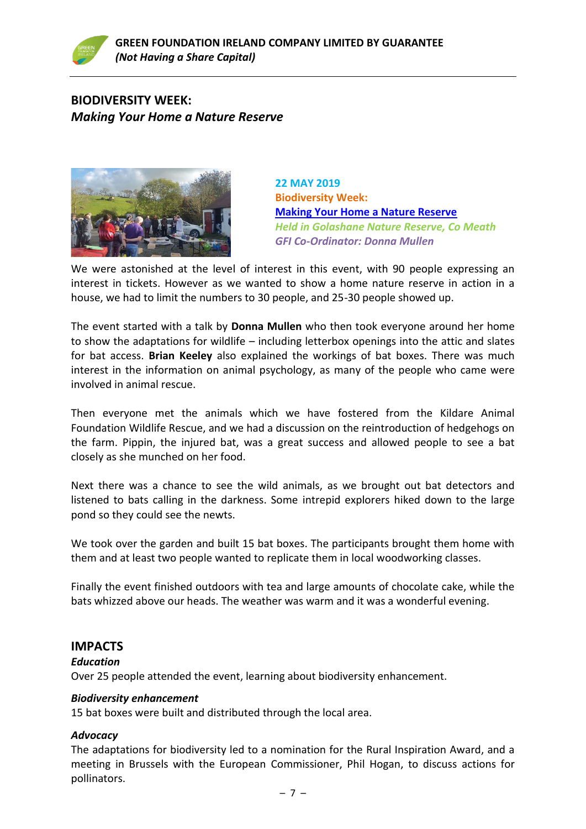### **BIODIVERSITY WEEK:** *Making Your Home a Nature Reserve*



**22 MAY 2019 Biodiversity Week: [Making Your Home a Nature Reserve](https://www.greenfoundationireland.ie/biodiversity-weekmaking-your-home-a-nature-reserve22-may-2019/)** *Held in Golashane Nature Reserve, Co Meath GFI Co-Ordinator: Donna Mullen*

We were astonished at the level of interest in this event, with 90 people expressing an interest in tickets. However as we wanted to show a home nature reserve in action in a house, we had to limit the numbers to 30 people, and 25-30 people showed up.

The event started with a talk by **Donna Mullen** who then took everyone around her home to show the adaptations for wildlife – including letterbox openings into the attic and slates for bat access. **Brian Keeley** also explained the workings of bat boxes. There was much interest in the information on animal psychology, as many of the people who came were involved in animal rescue.

Then everyone met the animals which we have fostered from the Kildare Animal Foundation Wildlife Rescue, and we had a discussion on the reintroduction of hedgehogs on the farm. Pippin, the injured bat, was a great success and allowed people to see a bat closely as she munched on her food.

Next there was a chance to see the wild animals, as we brought out bat detectors and listened to bats calling in the darkness. Some intrepid explorers hiked down to the large pond so they could see the newts.

We took over the garden and built 15 bat boxes. The participants brought them home with them and at least two people wanted to replicate them in local woodworking classes.

Finally the event finished outdoors with tea and large amounts of chocolate cake, while the bats whizzed above our heads. The weather was warm and it was a wonderful evening.

### **IMPACTS**

### *Education*

Over 25 people attended the event, learning about biodiversity enhancement.

### *Biodiversity enhancement*

15 bat boxes were built and distributed through the local area.

### *Advocacy*

The adaptations for biodiversity led to a nomination for the Rural Inspiration Award, and a meeting in Brussels with the European Commissioner, Phil Hogan, to discuss actions for pollinators.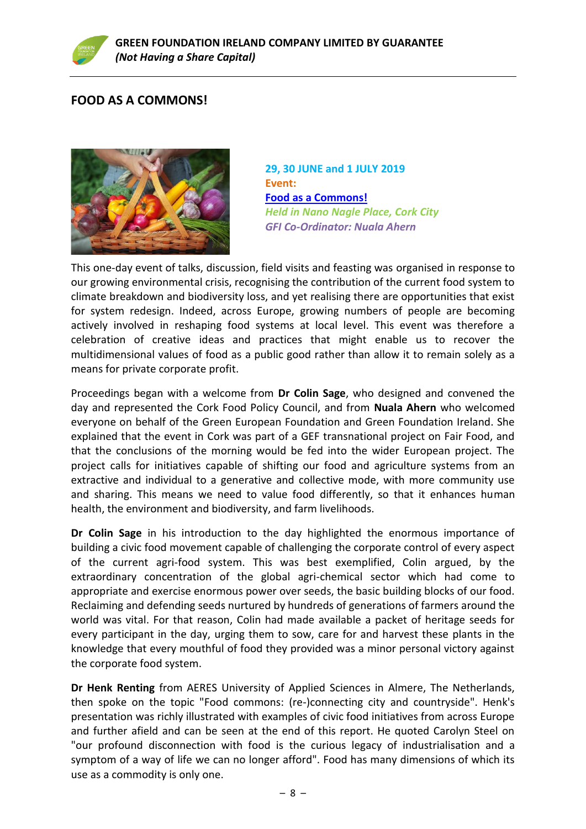### **FOOD AS A COMMONS!**



**29, 30 JUNE and 1 JULY 2019 Event: [Food as a Commons!](https://www.greenfoundationireland.ie/eventfood-as-a-commons22-jun-2019/)** *Held in Nano Nagle Place, Cork City GFI Co-Ordinator: Nuala Ahern*

This one-day event of talks, discussion, field visits and feasting was organised in response to our growing environmental crisis, recognising the contribution of the current food system to climate breakdown and biodiversity loss, and yet realising there are opportunities that exist for system redesign. Indeed, across Europe, growing numbers of people are becoming actively involved in reshaping food systems at local level. This event was therefore a celebration of creative ideas and practices that might enable us to recover the multidimensional values of food as a public good rather than allow it to remain solely as a means for private corporate profit.

Proceedings began with a welcome from **Dr Colin Sage**, who designed and convened the day and represented the Cork Food Policy Council, and from **Nuala Ahern** who welcomed everyone on behalf of the Green European Foundation and Green Foundation Ireland. She explained that the event in Cork was part of a GEF transnational project on Fair Food, and that the conclusions of the morning would be fed into the wider European project. The project calls for initiatives capable of shifting our food and agriculture systems from an extractive and individual to a generative and collective mode, with more community use and sharing. This means we need to value food differently, so that it enhances human health, the environment and biodiversity, and farm livelihoods.

**Dr Colin Sage** in his introduction to the day highlighted the enormous importance of building a civic food movement capable of challenging the corporate control of every aspect of the current agri-food system. This was best exemplified, Colin argued, by the extraordinary concentration of the global agri-chemical sector which had come to appropriate and exercise enormous power over seeds, the basic building blocks of our food. Reclaiming and defending seeds nurtured by hundreds of generations of farmers around the world was vital. For that reason, Colin had made available a packet of heritage seeds for every participant in the day, urging them to sow, care for and harvest these plants in the knowledge that every mouthful of food they provided was a minor personal victory against the corporate food system.

**Dr Henk Renting** from AERES University of Applied Sciences in Almere, The Netherlands, then spoke on the topic "Food commons: (re-)connecting city and countryside". Henk's presentation was richly illustrated with examples of civic food initiatives from across Europe and further afield and can be seen at the end of this report. He quoted Carolyn Steel on "our profound disconnection with food is the curious legacy of industrialisation and a symptom of a way of life we can no longer afford". Food has many dimensions of which its use as a commodity is only one.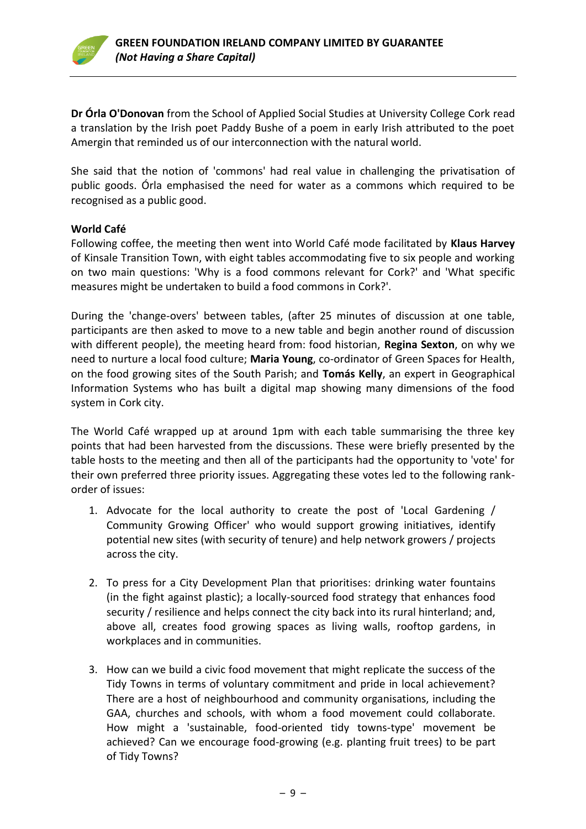

**Dr Órla O'Donovan** from the School of Applied Social Studies at University College Cork read a translation by the Irish poet Paddy Bushe of a poem in early Irish attributed to the poet Amergin that reminded us of our interconnection with the natural world.

She said that the notion of 'commons' had real value in challenging the privatisation of public goods. Órla emphasised the need for water as a commons which required to be recognised as a public good.

### **World Café**

Following coffee, the meeting then went into World Café mode facilitated by **Klaus Harvey** of Kinsale Transition Town, with eight tables accommodating five to six people and working on two main questions: 'Why is a food commons relevant for Cork?' and 'What specific measures might be undertaken to build a food commons in Cork?'.

During the 'change-overs' between tables, (after 25 minutes of discussion at one table, participants are then asked to move to a new table and begin another round of discussion with different people), the meeting heard from: food historian, **Regina Sexton**, on why we need to nurture a local food culture; **Maria Young**, co-ordinator of Green Spaces for Health, on the food growing sites of the South Parish; and **Tomás Kelly**, an expert in Geographical Information Systems who has built a digital map showing many dimensions of the food system in Cork city.

The World Café wrapped up at around 1pm with each table summarising the three key points that had been harvested from the discussions. These were briefly presented by the table hosts to the meeting and then all of the participants had the opportunity to 'vote' for their own preferred three priority issues. Aggregating these votes led to the following rankorder of issues:

- 1. Advocate for the local authority to create the post of 'Local Gardening / Community Growing Officer' who would support growing initiatives, identify potential new sites (with security of tenure) and help network growers / projects across the city.
- 2. To press for a City Development Plan that prioritises: drinking water fountains (in the fight against plastic); a locally-sourced food strategy that enhances food security / resilience and helps connect the city back into its rural hinterland; and, above all, creates food growing spaces as living walls, rooftop gardens, in workplaces and in communities.
- 3. How can we build a civic food movement that might replicate the success of the Tidy Towns in terms of voluntary commitment and pride in local achievement? There are a host of neighbourhood and community organisations, including the GAA, churches and schools, with whom a food movement could collaborate. How might a 'sustainable, food-oriented tidy towns-type' movement be achieved? Can we encourage food-growing (e.g. planting fruit trees) to be part of Tidy Towns?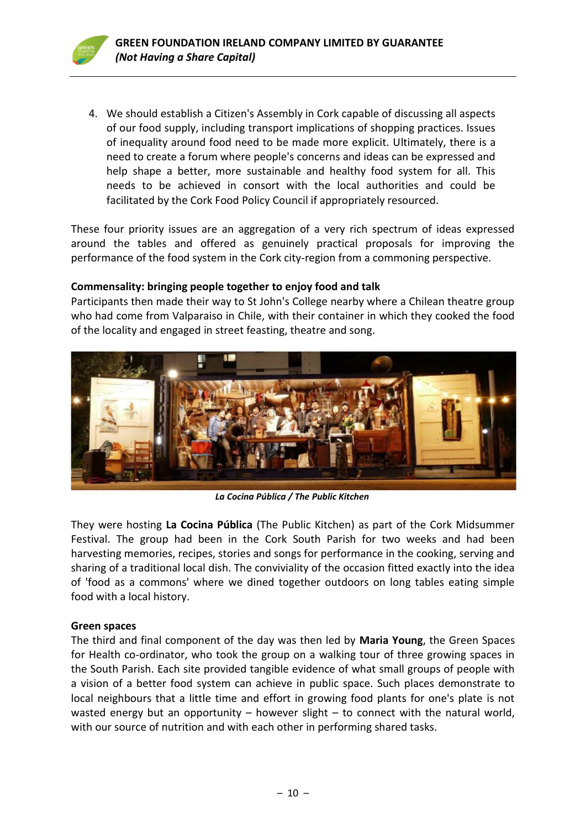4. We should establish a Citizen's Assembly in Cork capable of discussing all aspects of our food supply, including transport implications of shopping practices. Issues of inequality around food need to be made more explicit. Ultimately, there is a need to create a forum where people's concerns and ideas can be expressed and help shape a better, more sustainable and healthy food system for all. This needs to be achieved in consort with the local authorities and could be facilitated by the Cork Food Policy Council if appropriately resourced.

These four priority issues are an aggregation of a very rich spectrum of ideas expressed around the tables and offered as genuinely practical proposals for improving the performance of the food system in the Cork city-region from a commoning perspective.

### **Commensality: bringing people together to enjoy food and talk**

Participants then made their way to St John's College nearby where a Chilean theatre group who had come from Valparaiso in Chile, with their container in which they cooked the food of the locality and engaged in street feasting, theatre and song.



*La Cocina Pública / The Public Kitchen*

They were hosting **La Cocina Pública** (The Public Kitchen) as part of the Cork Midsummer Festival. The group had been in the Cork South Parish for two weeks and had been harvesting memories, recipes, stories and songs for performance in the cooking, serving and sharing of a traditional local dish. The conviviality of the occasion fitted exactly into the idea of 'food as a commons' where we dined together outdoors on long tables eating simple food with a local history.

### **Green spaces**

The third and final component of the day was then led by **Maria Young**, the Green Spaces for Health co-ordinator, who took the group on a walking tour of three growing spaces in the South Parish. Each site provided tangible evidence of what small groups of people with a vision of a better food system can achieve in public space. Such places demonstrate to local neighbours that a little time and effort in growing food plants for one's plate is not wasted energy but an opportunity  $-$  however slight  $-$  to connect with the natural world, with our source of nutrition and with each other in performing shared tasks.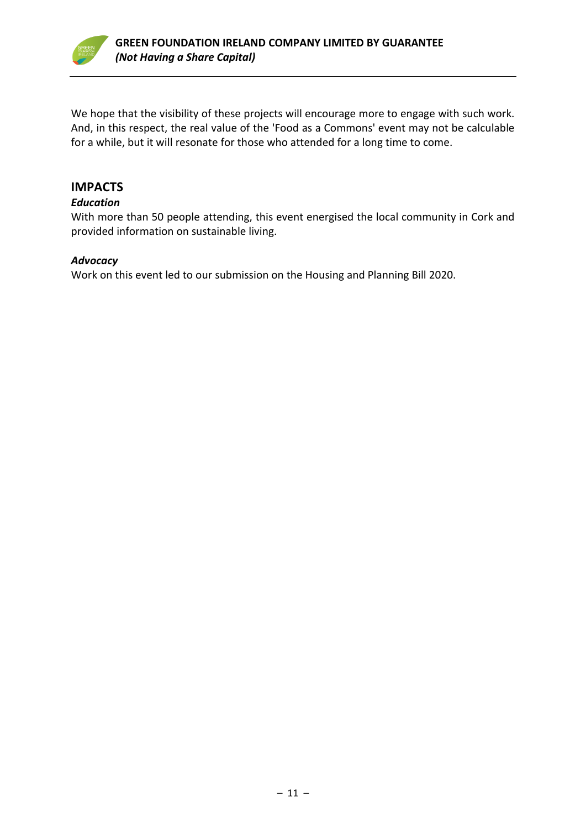

We hope that the visibility of these projects will encourage more to engage with such work. And, in this respect, the real value of the 'Food as a Commons' event may not be calculable for a while, but it will resonate for those who attended for a long time to come.

### **IMPACTS**

### *Education*

With more than 50 people attending, this event energised the local community in Cork and provided information on sustainable living.

### *Advocacy*

Work on this event led to our submission on the Housing and Planning Bill 2020.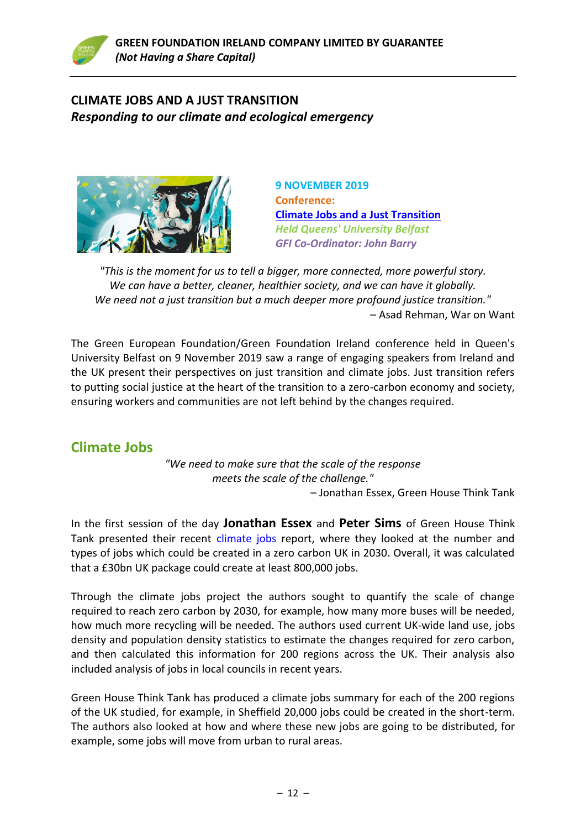

### **CLIMATE JOBS AND A JUST TRANSITION** *Responding to our climate and ecological emergency*



**9 NOVEMBER 2019 Conference: [Climate Jobs and a Just Transition](https://www.greenfoundationireland.ie/conferenceclimate-jobs-and-a-just-transition9-nov-2019/)** *Held Queens' University Belfast GFI Co-Ordinator: John Barry*

*"This is the moment for us to tell a bigger, more connected, more powerful story. We can have a better, cleaner, healthier society, and we can have it globally. We need not a just transition but a much deeper more profound justice transition."* – Asad Rehman, War on Want

The Green European Foundation/Green Foundation Ireland conference held in Queen's University Belfast on 9 November 2019 saw a range of engaging speakers from Ireland and the UK present their perspectives on just transition and climate jobs. Just transition refers to putting social justice at the heart of the transition to a zero-carbon economy and society, ensuring workers and communities are not left behind by the changes required.

### **Climate Jobs**

*"We need to make sure that the scale of the response meets the scale of the challenge."* – Jonathan Essex, Green House Think Tank

In the first session of the day **Jonathan Essex** and **Peter Sims** of Green House Think Tank presented their recent [climate jobs](https://www.greenhousethinktank.org/climate-jobs.html) report, where they looked at the number and types of jobs which could be created in a zero carbon UK in 2030. Overall, it was calculated that a £30bn UK package could create at least 800,000 jobs.

Through the climate jobs project the authors sought to quantify the scale of change required to reach zero carbon by 2030, for example, how many more buses will be needed, how much more recycling will be needed. The authors used current UK-wide land use, jobs density and population density statistics to estimate the changes required for zero carbon, and then calculated this information for 200 regions across the UK. Their analysis also included analysis of jobs in local councils in recent years.

Green House Think Tank has produced a climate jobs summary for each of the 200 regions of the UK studied, for example, in Sheffield 20,000 jobs could be created in the short-term. The authors also looked at how and where these new jobs are going to be distributed, for example, some jobs will move from urban to rural areas.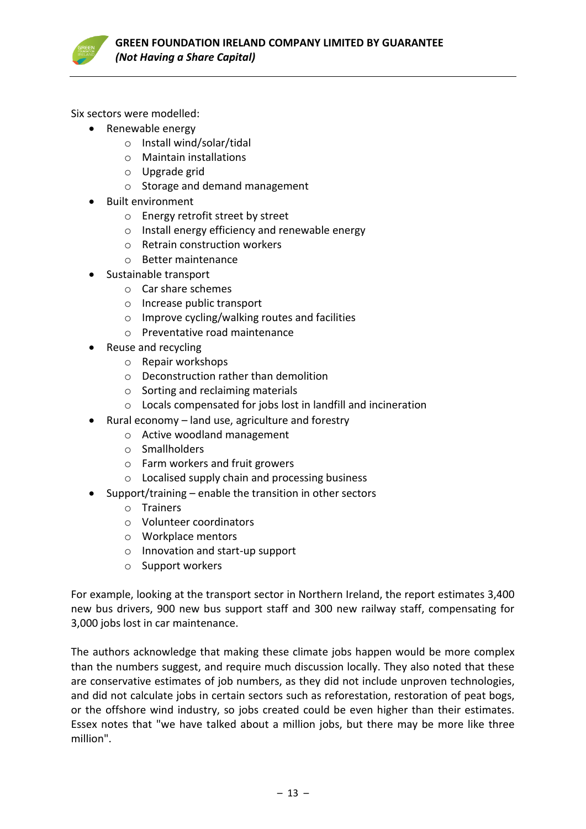

Six sectors were modelled:

- Renewable energy
	- o Install wind/solar/tidal
	- o Maintain installations
	- o Upgrade grid
	- o Storage and demand management
- Built environment
	- o Energy retrofit street by street
	- o Install energy efficiency and renewable energy
	- o Retrain construction workers
	- o Better maintenance
- Sustainable transport
	- o Car share schemes
	- o Increase public transport
	- o Improve cycling/walking routes and facilities
	- o Preventative road maintenance
- Reuse and recycling
	- o Repair workshops
	- o Deconstruction rather than demolition
	- o Sorting and reclaiming materials
	- o Locals compensated for jobs lost in landfill and incineration
- Rural economy land use, agriculture and forestry
	- o Active woodland management
	- o Smallholders
	- o Farm workers and fruit growers
	- o Localised supply chain and processing business
- Support/training enable the transition in other sectors
	- o Trainers
	- o Volunteer coordinators
	- o Workplace mentors
	- o Innovation and start-up support
	- o Support workers

For example, looking at the transport sector in Northern Ireland, the report estimates 3,400 new bus drivers, 900 new bus support staff and 300 new railway staff, compensating for 3,000 jobs lost in car maintenance.

The authors acknowledge that making these climate jobs happen would be more complex than the numbers suggest, and require much discussion locally. They also noted that these are conservative estimates of job numbers, as they did not include unproven technologies, and did not calculate jobs in certain sectors such as reforestation, restoration of peat bogs, or the offshore wind industry, so jobs created could be even higher than their estimates. Essex notes that "we have talked about a million jobs, but there may be more like three million".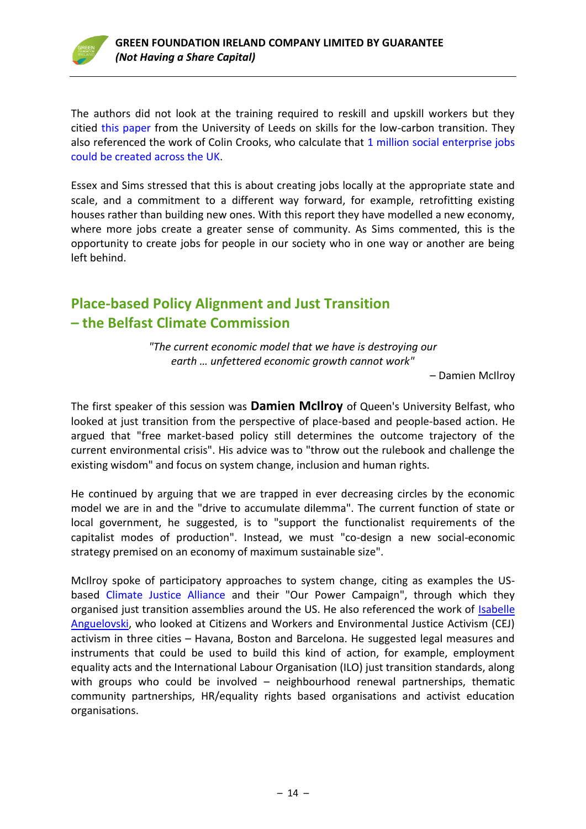

The authors did not look at the training required to reskill and upskill workers but they citied [this paper](https://www.see.leeds.ac.uk/fileadmin/Documents/research/sri/workingpapers/SRIPs-31.pdf) from the University of Leeds on skills for the low-carbon transition. They also referenced the work of Colin Crooks, who calculate that 1 million social enterprise jobs [could be created across the UK.](https://www.theguardian.com/social-enterprise-network/2012/jul/25/social-enterprise-solve-unemployment-crisis)

Essex and Sims stressed that this is about creating jobs locally at the appropriate state and scale, and a commitment to a different way forward, for example, retrofitting existing houses rather than building new ones. With this report they have modelled a new economy, where more jobs create a greater sense of community. As Sims commented, this is the opportunity to create jobs for people in our society who in one way or another are being left behind.

### **Place-based Policy Alignment and Just Transition – the Belfast Climate Commission**

*"The current economic model that we have is destroying our earth … unfettered economic growth cannot work"*

– Damien McIlroy

The first speaker of this session was **Damien McIlroy** of Queen's University Belfast, who looked at just transition from the perspective of place-based and people-based action. He argued that "free market-based policy still determines the outcome trajectory of the current environmental crisis". His advice was to "throw out the rulebook and challenge the existing wisdom" and focus on system change, inclusion and human rights.

He continued by arguing that we are trapped in ever decreasing circles by the economic model we are in and the "drive to accumulate dilemma". The current function of state or local government, he suggested, is to "support the functionalist requirements of the capitalist modes of production". Instead, we must "co-design a new social-economic strategy premised on an economy of maximum sustainable size".

McIlroy spoke of participatory approaches to system change, citing as examples the USbased [Climate Justice Alliance](https://climatejusticealliance.org/) and their "Our Power Campaign", through which they organised just transition assemblies around the US. He also referenced the work of [Isabelle](https://www.nature.com/articles/nclimate2841)  [Anguelovski,](https://www.nature.com/articles/nclimate2841) who looked at Citizens and Workers and Environmental Justice Activism (CEJ) activism in three cities – Havana, Boston and Barcelona. He suggested legal measures and instruments that could be used to build this kind of action, for example, employment equality acts and the International Labour Organisation (ILO) just transition standards, along with groups who could be involved - neighbourhood renewal partnerships, thematic community partnerships, HR/equality rights based organisations and activist education organisations.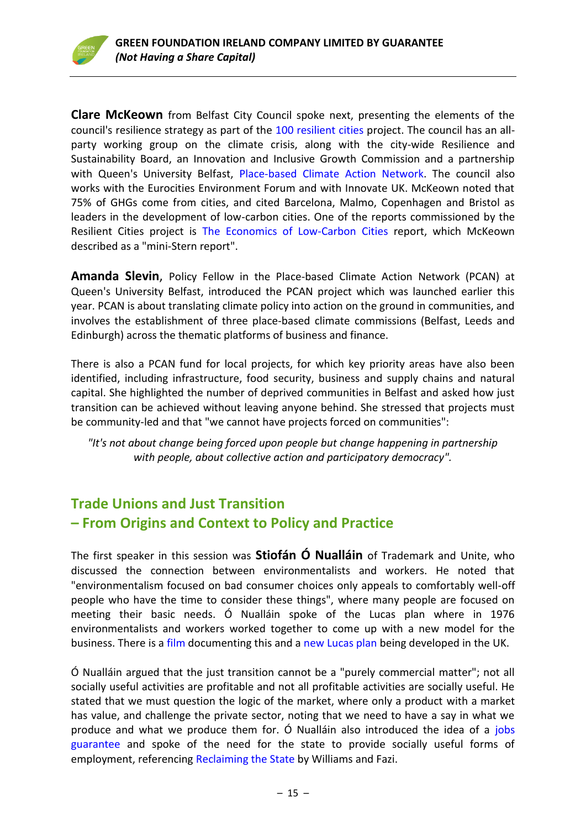**Clare McKeown** from Belfast City Council spoke next, presenting the elements of the council's resilience strategy as part of the [100 resilient cities](https://www.100resilientcities.org/) project. The council has an allparty working group on the climate crisis, along with the city-wide Resilience and Sustainability Board, an Innovation and Inclusive Growth Commission and a partnership with Queen's University Belfast, [Place-based Climate Action](https://pcancities.org.uk/about) Network. The council also works with the Eurocities Environment Forum and with Innovate UK. McKeown noted that 75% of GHGs come from cities, and cited Barcelona, Malmo, Copenhagen and Bristol as leaders in the development of low-carbon cities. One of the reports commissioned by the Resilient Cities project is [The Economics of Low-Carbon Cities](http://bristol.ac.uk/cabot/media/documents/bristol-low-carbon-cities-report.pdf) report, which McKeown described as a "mini-Stern report".

**Amanda Slevin**, Policy Fellow in the Place-based Climate Action Network (PCAN) at Queen's University Belfast, introduced the PCAN project which was launched earlier this year. PCAN is about translating climate policy into action on the ground in communities, and involves the establishment of three place-based climate commissions (Belfast, Leeds and Edinburgh) across the thematic platforms of business and finance.

There is also a PCAN fund for local projects, for which key priority areas have also been identified, including infrastructure, food security, business and supply chains and natural capital. She highlighted the number of deprived communities in Belfast and asked how just transition can be achieved without leaving anyone behind. She stressed that projects must be community-led and that "we cannot have projects forced on communities":

*"It's not about change being forced upon people but change happening in partnership with people, about collective action and participatory democracy".*

### **Trade Unions and Just Transition – From Origins and Context to Policy and Practice**

The first speaker in this session was **Stiofán Ó Nualláin** of Trademark and Unite, who discussed the connection between environmentalists and workers. He noted that "environmentalism focused on bad consumer choices only appeals to comfortably well-off people who have the time to consider these things", where many people are focused on meeting their basic needs. Ó Nualláin spoke of the Lucas plan where in 1976 environmentalists and workers worked together to come up with a new model for the business. There is a [film](https://www.youtube.com/watch?v=0pgQqfpub-c) documenting this and a [new Lucas plan](http://lucasplan.org.uk/) being developed in the UK.

Ó Nualláin argued that the just transition cannot be a "purely commercial matter"; not all socially useful activities are profitable and not all profitable activities are socially useful. He stated that we must question the logic of the market, where only a product with a market has value, and challenge the private sector, noting that we need to have a say in what we produce and what we produce them for. O Nualláin also introduced the idea of a jobs [guarantee](https://www.theatlantic.com/business/archive/2017/05/should-the-government-guarantee-everyone-a-job/527208/) and spoke of the need for the state to provide socially useful forms of employment, referencing [Reclaiming the State](https://www.plutobooks.com/9780745337326/reclaiming-the-state/) by Williams and Fazi.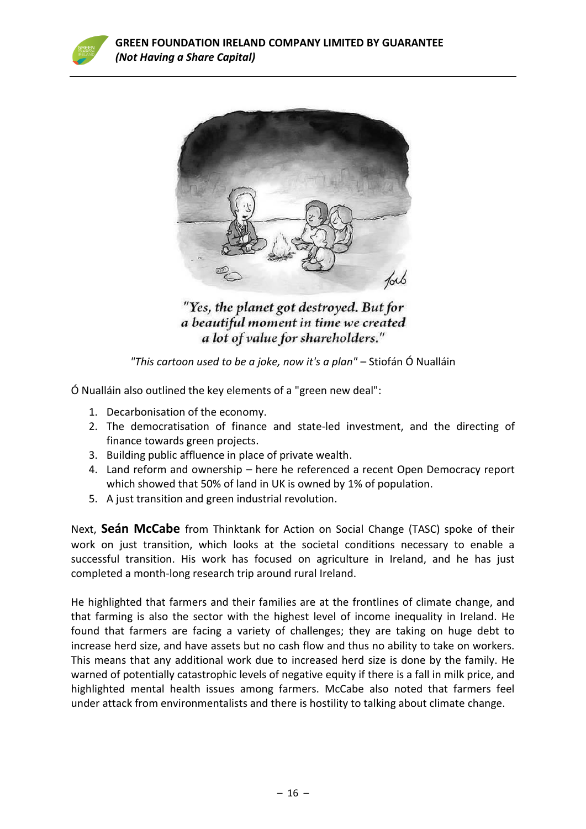



"Yes, the planet got destroyed. But for a beautiful moment in time we created a lot of value for shareholders."

### *"This cartoon used to be a joke, now it's a plan"* – Stiofán Ó Nualláin

Ó Nualláin also outlined the key elements of a "green new deal":

- 1. Decarbonisation of the economy.
- 2. The democratisation of finance and state-led investment, and the directing of finance towards green projects.
- 3. Building public affluence in place of private wealth.
- 4. Land reform and ownership here he referenced a recent Open Democracy report which showed that 50% of land in UK is owned by 1% of population.
- 5. A just transition and green industrial revolution.

Next, **Seán McCabe** from Thinktank for Action on Social Change (TASC) spoke of their work on just transition, which looks at the societal conditions necessary to enable a successful transition. His work has focused on agriculture in Ireland, and he has just completed a month-long research trip around rural Ireland.

He highlighted that farmers and their families are at the frontlines of climate change, and that farming is also the sector with the highest level of income inequality in Ireland. He found that farmers are facing a variety of challenges; they are taking on huge debt to increase herd size, and have assets but no cash flow and thus no ability to take on workers. This means that any additional work due to increased herd size is done by the family. He warned of potentially catastrophic levels of negative equity if there is a fall in milk price, and highlighted mental health issues among farmers. McCabe also noted that farmers feel under attack from environmentalists and there is hostility to talking about climate change.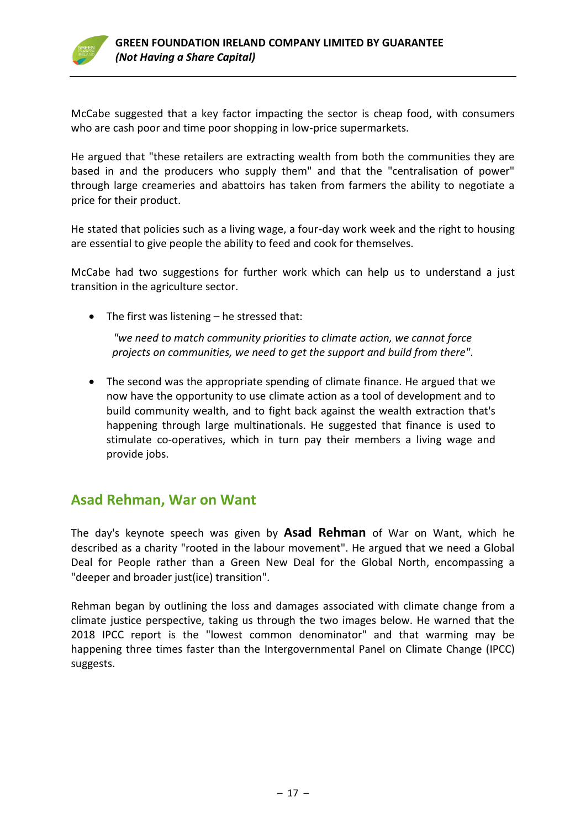

McCabe suggested that a key factor impacting the sector is cheap food, with consumers who are cash poor and time poor shopping in low-price supermarkets.

He argued that "these retailers are extracting wealth from both the communities they are based in and the producers who supply them" and that the "centralisation of power" through large creameries and abattoirs has taken from farmers the ability to negotiate a price for their product.

He stated that policies such as a living wage, a four-day work week and the right to housing are essential to give people the ability to feed and cook for themselves.

McCabe had two suggestions for further work which can help us to understand a just transition in the agriculture sector.

• The first was listening – he stressed that:

*"we need to match community priorities to climate action, we cannot force projects on communities, we need to get the support and build from there".*

• The second was the appropriate spending of climate finance. He argued that we now have the opportunity to use climate action as a tool of development and to build community wealth, and to fight back against the wealth extraction that's happening through large multinationals. He suggested that finance is used to stimulate co-operatives, which in turn pay their members a living wage and provide jobs.

### **Asad Rehman, War on Want**

The day's keynote speech was given by **Asad Rehman** of War on Want, which he described as a charity "rooted in the labour movement". He argued that we need a Global Deal for People rather than a Green New Deal for the Global North, encompassing a "deeper and broader just(ice) transition".

Rehman began by outlining the loss and damages associated with climate change from a climate justice perspective, taking us through the two images below. He warned that the 2018 IPCC report is the "lowest common denominator" and that warming may be happening three times faster than the Intergovernmental Panel on Climate Change (IPCC) suggests.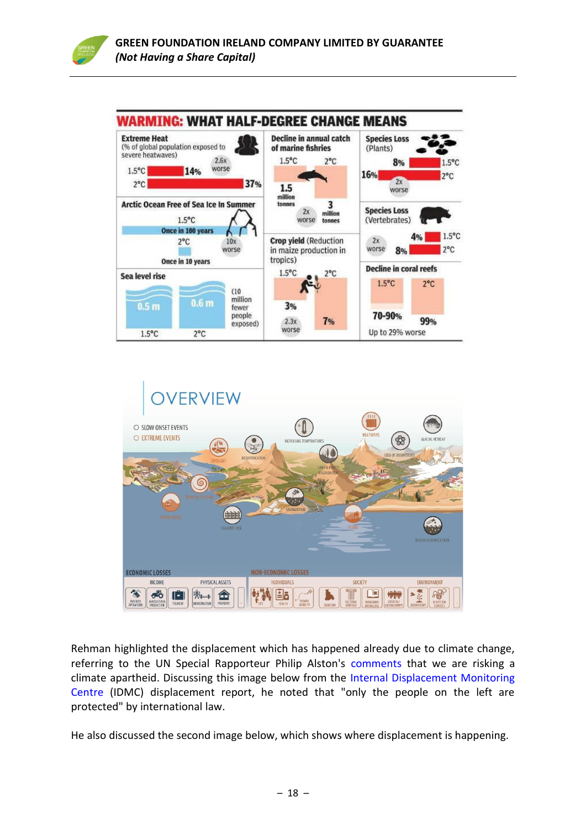





Rehman highlighted the displacement which has happened already due to climate change, referring to the UN Special Rapporteur Philip Alston's [comments](https://www.ohchr.org/EN/NewsEvents/Pages/DisplayNews.aspx?NewsID=24735) that we are risking a climate apartheid. Discussing this image below from the [Internal Displacement Monitoring](http://www.internal-displacement.org/)  [Centre](http://www.internal-displacement.org/) (IDMC) displacement report, he noted that "only the people on the left are protected" by international law.

He also discussed the second image below, which shows where displacement is happening.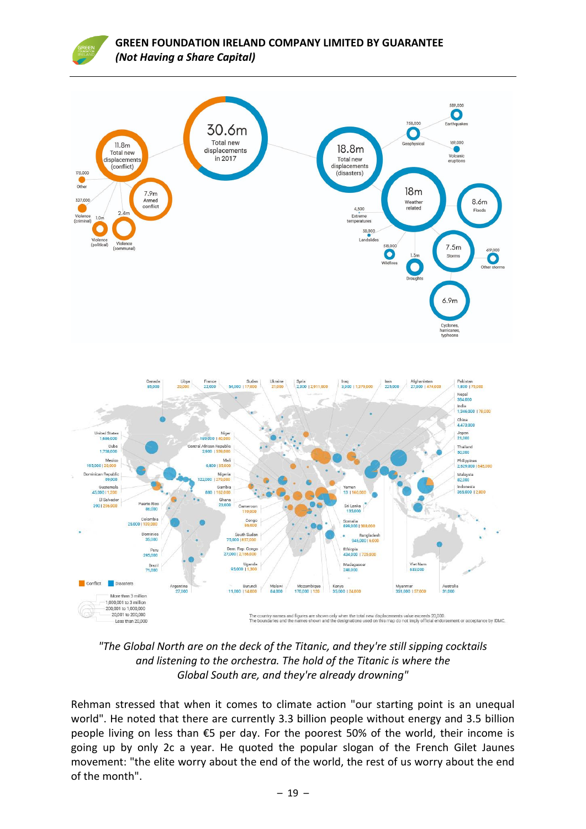

*"The Global North are on the deck of the Titanic, and they're still sipping cocktails and listening to the orchestra. The hold of the Titanic is where the Global South are, and they're already drowning"*

Rehman stressed that when it comes to climate action "our starting point is an unequal world". He noted that there are currently 3.3 billion people without energy and 3.5 billion people living on less than €5 per day. For the poorest 50% of the world, their income is going up by only 2c a year. He quoted the popular slogan of the French Gilet Jaunes movement: "the elite worry about the end of the world, the rest of us worry about the end of the month".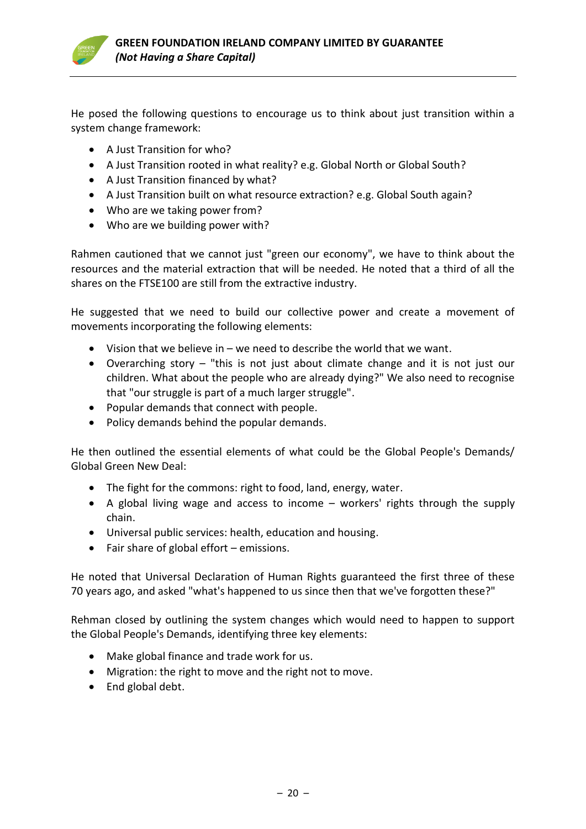

He posed the following questions to encourage us to think about just transition within a system change framework:

- A Just Transition for who?
- A Just Transition rooted in what reality? e.g. Global North or Global South?
- A Just Transition financed by what?
- A Just Transition built on what resource extraction? e.g. Global South again?
- Who are we taking power from?
- Who are we building power with?

Rahmen cautioned that we cannot just "green our economy", we have to think about the resources and the material extraction that will be needed. He noted that a third of all the shares on the FTSE100 are still from the extractive industry.

He suggested that we need to build our collective power and create a movement of movements incorporating the following elements:

- Vision that we believe in we need to describe the world that we want.
- Overarching story "this is not just about climate change and it is not just our children. What about the people who are already dying?" We also need to recognise that "our struggle is part of a much larger struggle".
- Popular demands that connect with people.
- Policy demands behind the popular demands.

He then outlined the essential elements of what could be the Global People's Demands/ Global Green New Deal:

- The fight for the commons: right to food, land, energy, water.
- A global living wage and access to income workers' rights through the supply chain.
- Universal public services: health, education and housing.
- Fair share of global effort emissions.

He noted that Universal Declaration of Human Rights guaranteed the first three of these 70 years ago, and asked "what's happened to us since then that we've forgotten these?"

Rehman closed by outlining the system changes which would need to happen to support the Global People's Demands, identifying three key elements:

- Make global finance and trade work for us.
- Migration: the right to move and the right not to move.
- End global debt.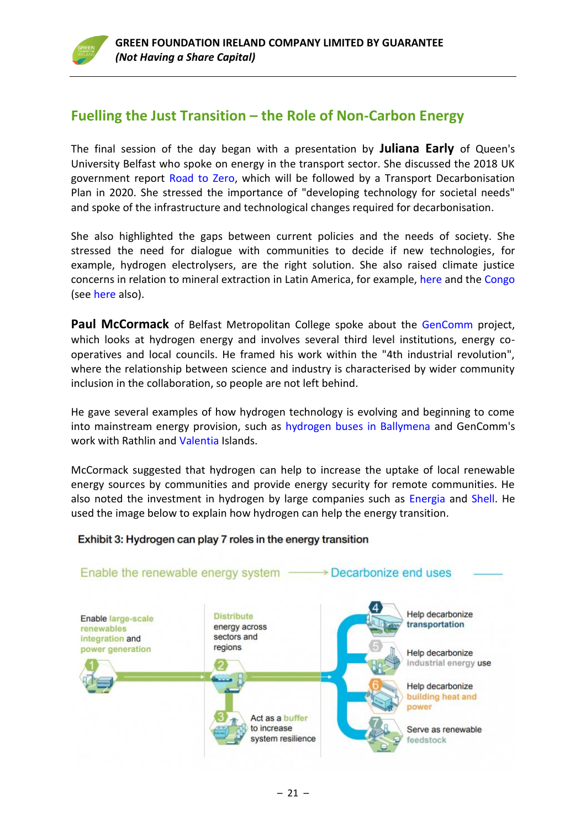### **Fuelling the Just Transition – the Role of Non-Carbon Energy**

The final session of the day began with a presentation by **Juliana Early** of Queen's University Belfast who spoke on energy in the transport sector. She discussed the 2018 UK government report [Road to Zero,](https://assets.publishing.service.gov.uk/government/uploads/system/uploads/attachment_data/file/739460/road-to-zero.pdf) which will be followed by a Transport Decarbonisation Plan in 2020. She stressed the importance of "developing technology for societal needs" and spoke of the infrastructure and technological changes required for decarbonisation.

She also highlighted the gaps between current policies and the needs of society. She stressed the need for dialogue with communities to decide if new technologies, for example, hydrogen electrolysers, are the right solution. She also raised climate justice concerns in relation to mineral extraction in Latin America, for example, [here](https://www.opendemocracy.net/en/democraciaabierta/lithium-niobium-coltan-technological-metals-destroy-latin-american-e/) and the [Congo](https://phys.org/news/2018-09-scientists-reveal-hidden-cobalt-dr.html) (see [here](https://www.raconteur.net/business-innovation/cobalt-mining-human-rights) also).

Paul McCormack of Belfast Metropolitan College spoke about the [GenComm](https://www.nweurope.eu/projects/project-search/gencomm-generating-energy-secure-communities/) project, which looks at hydrogen energy and involves several third level institutions, energy cooperatives and local councils. He framed his work within the "4th industrial revolution", where the relationship between science and industry is characterised by wider community inclusion in the collaboration, so people are not left behind.

He gave several examples of how hydrogen technology is evolving and beginning to come into mainstream energy provision, such as [hydrogen buses](https://www.bbc.co.uk/news/uk-northern-ireland-48234306) in Ballymena and GenComm's work with Rathlin and [Valentia](https://www.nweurope.eu/projects/project-search/gencomm-generating-energy-secure-communities/news/valentia-island-hydrogen-feasibility-study-launch-in-co-kerry-ireland/) Islands.

McCormack suggested that hydrogen can help to increase the uptake of local renewable energy sources by communities and provide energy security for remote communities. He also noted the investment in hydrogen by large companies such as [Energia](https://energiagroup.com/who-we-are/innovation/) and [Shell.](https://www.shell.com/energy-and-innovation/new-energies/hydrogen/_jcr_content/par/keybenefits_150847174/link.stream/1496312627865/6a3564d61b9aff43e087972db5212be68d1fb2e8/shell-h2-study-new.pdf) He used the image below to explain how hydrogen can help the energy transition.

### Exhibit 3: Hydrogen can play 7 roles in the energy transition

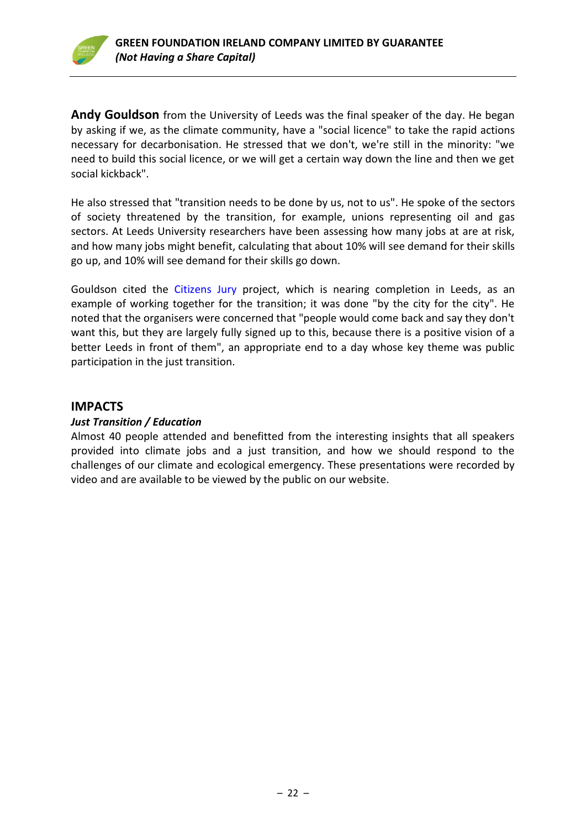

**Andy Gouldson** from the University of Leeds was the final speaker of the day. He began by asking if we, as the climate community, have a "social licence" to take the rapid actions necessary for decarbonisation. He stressed that we don't, we're still in the minority: "we need to build this social licence, or we will get a certain way down the line and then we get social kickback".

He also stressed that "transition needs to be done by us, not to us". He spoke of the sectors of society threatened by the transition, for example, unions representing oil and gas sectors. At Leeds University researchers have been assessing how many jobs at are at risk, and how many jobs might benefit, calculating that about 10% will see demand for their skills go up, and 10% will see demand for their skills go down.

Gouldson cited the [Citizens Jury](https://www.leedsclimate.org.uk/news/recruitment-process-starts-leeds-citizens%E2%80%99-jury-climate-change) project, which is nearing completion in Leeds, as an example of working together for the transition; it was done "by the city for the city". He noted that the organisers were concerned that "people would come back and say they don't want this, but they are largely fully signed up to this, because there is a positive vision of a better Leeds in front of them", an appropriate end to a day whose key theme was public participation in the just transition.

### **IMPACTS**

### *Just Transition / Education*

Almost 40 people attended and benefitted from the interesting insights that all speakers provided into climate jobs and a just transition, and how we should respond to the challenges of our climate and ecological emergency. These presentations were recorded by video and are available to be viewed by the public on our website.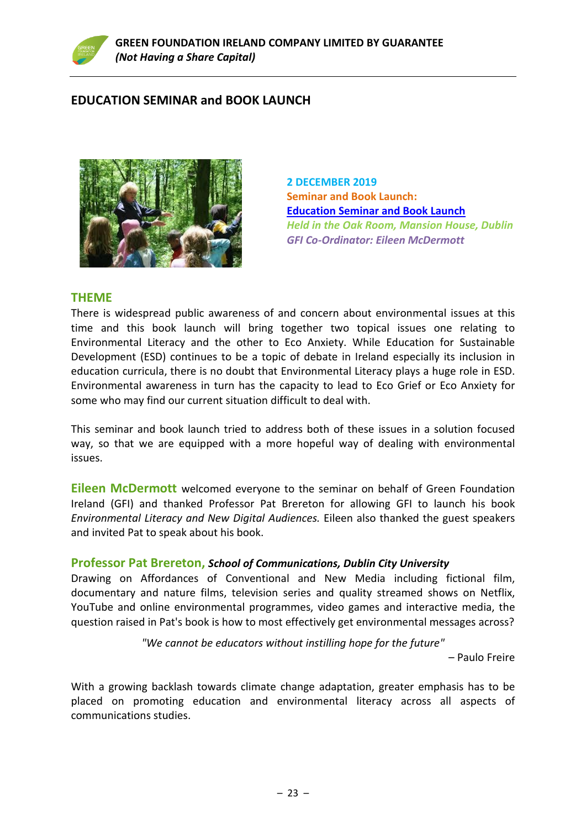

### **EDUCATION SEMINAR and BOOK LAUNCH**



**2 DECEMBER 2019 Seminar and Book Launch: [Education Seminar and Book Launch](https://www.greenfoundationireland.ie/education-seminarand-book-launch2-dec-2019/)** *Held in the Oak Room, Mansion House, Dublin GFI Co-Ordinator: Eileen McDermott*

### **THEME**

There is widespread public awareness of and concern about environmental issues at this time and this book launch will bring together two topical issues one relating to Environmental Literacy and the other to Eco Anxiety. While Education for Sustainable Development (ESD) continues to be a topic of debate in Ireland especially its inclusion in education curricula, there is no doubt that Environmental Literacy plays a huge role in ESD. Environmental awareness in turn has the capacity to lead to Eco Grief or Eco Anxiety for some who may find our current situation difficult to deal with.

This seminar and book launch tried to address both of these issues in a solution focused way, so that we are equipped with a more hopeful way of dealing with environmental issues.

**Eileen McDermott** welcomed everyone to the seminar on behalf of Green Foundation Ireland (GFI) and thanked Professor Pat Brereton for allowing GFI to launch his book *Environmental Literacy and New Digital Audiences.* Eileen also thanked the guest speakers and invited Pat to speak about his book.

### **Professor Pat Brereton,** *School of Communications, Dublin City University*

Drawing on Affordances of Conventional and New Media including fictional film, documentary and nature films, television series and quality streamed shows on Netflix, YouTube and online environmental programmes, video games and interactive media, the question raised in Pat's book is how to most effectively get environmental messages across?

*"We cannot be educators without instilling hope for the future"*

– Paulo Freire

With a growing backlash towards climate change adaptation, greater emphasis has to be placed on promoting education and environmental literacy across all aspects of communications studies.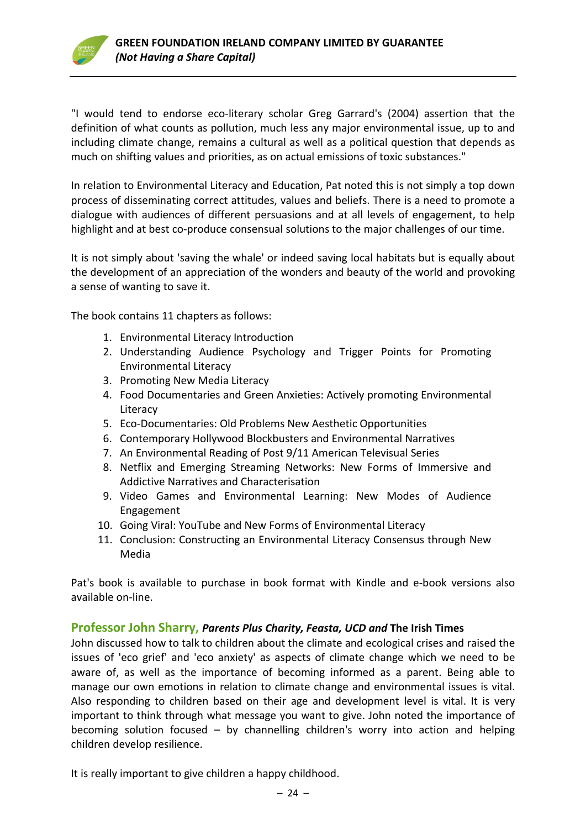

"I would tend to endorse eco-literary scholar Greg Garrard's (2004) assertion that the definition of what counts as pollution, much less any major environmental issue, up to and including climate change, remains a cultural as well as a political question that depends as much on shifting values and priorities, as on actual emissions of toxic substances."

In relation to Environmental Literacy and Education, Pat noted this is not simply a top down process of disseminating correct attitudes, values and beliefs. There is a need to promote a dialogue with audiences of different persuasions and at all levels of engagement, to help highlight and at best co-produce consensual solutions to the major challenges of our time.

It is not simply about 'saving the whale' or indeed saving local habitats but is equally about the development of an appreciation of the wonders and beauty of the world and provoking a sense of wanting to save it.

The book contains 11 chapters as follows:

- 1. Environmental Literacy Introduction
- 2. Understanding Audience Psychology and Trigger Points for Promoting Environmental Literacy
- 3. Promoting New Media Literacy
- 4. Food Documentaries and Green Anxieties: Actively promoting Environmental **Literacy**
- 5. Eco-Documentaries: Old Problems New Aesthetic Opportunities
- 6. Contemporary Hollywood Blockbusters and Environmental Narratives
- 7. An Environmental Reading of Post 9/11 American Televisual Series
- 8. Netflix and Emerging Streaming Networks: New Forms of Immersive and Addictive Narratives and Characterisation
- 9. Video Games and Environmental Learning: New Modes of Audience Engagement
- 10. Going Viral: YouTube and New Forms of Environmental Literacy
- 11. Conclusion: Constructing an Environmental Literacy Consensus through New Media

Pat's book is available to purchase in book format with Kindle and e-book versions also available on-line.

### **Professor John Sharry,** *Parents Plus Charity, Feasta, UCD and* **The Irish Times**

John discussed how to talk to children about the climate and ecological crises and raised the issues of 'eco grief' and 'eco anxiety' as aspects of climate change which we need to be aware of, as well as the importance of becoming informed as a parent. Being able to manage our own emotions in relation to climate change and environmental issues is vital. Also responding to children based on their age and development level is vital. It is very important to think through what message you want to give. John noted the importance of becoming solution focused – by channelling children's worry into action and helping children develop resilience.

It is really important to give children a happy childhood.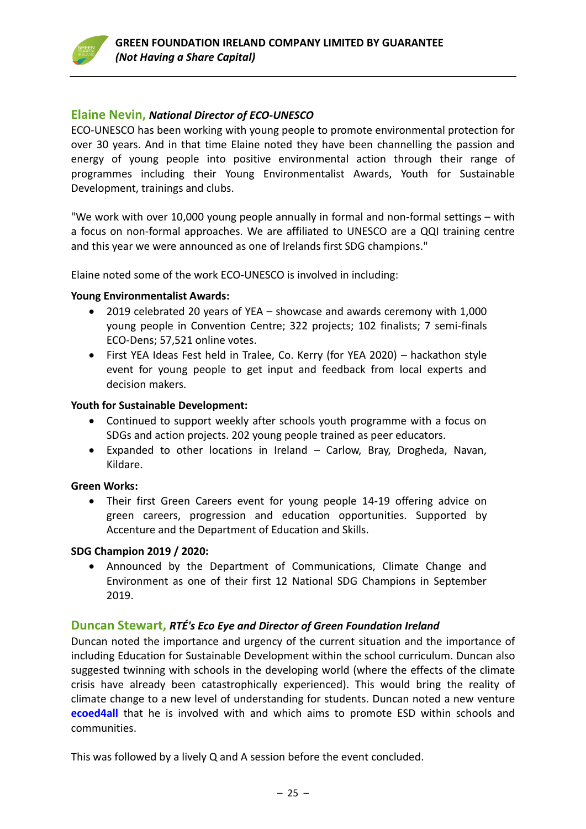### **Elaine Nevin,** *National Director of ECO-UNESCO*

ECO-UNESCO has been working with young people to promote environmental protection for over 30 years. And in that time Elaine noted they have been channelling the passion and energy of young people into positive environmental action through their range of programmes including their Young Environmentalist Awards, Youth for Sustainable Development, trainings and clubs.

"We work with over 10,000 young people annually in formal and non-formal settings – with a focus on non-formal approaches. We are affiliated to UNESCO are a QQI training centre and this year we were announced as one of Irelands first SDG champions."

Elaine noted some of the work ECO-UNESCO is involved in including:

#### **Young Environmentalist Awards:**

- 2019 celebrated 20 years of YEA showcase and awards ceremony with 1,000 young people in Convention Centre; 322 projects; 102 finalists; 7 semi-finals ECO-Dens; 57,521 online votes.
- First YEA Ideas Fest held in Tralee, Co. Kerry (for YEA 2020) hackathon style event for young people to get input and feedback from local experts and decision makers.

#### **Youth for Sustainable Development:**

- Continued to support weekly after schools youth programme with a focus on SDGs and action projects. 202 young people trained as peer educators.
- Expanded to other locations in Ireland Carlow, Bray, Drogheda, Navan, Kildare.

#### **Green Works:**

• Their first Green Careers event for young people 14-19 offering advice on green careers, progression and education opportunities. Supported by Accenture and the Department of Education and Skills.

### **SDG Champion 2019 / 2020:**

• Announced by the Department of Communications, Climate Change and Environment as one of their first 12 National SDG Champions in September 2019.

### **Duncan Stewart,** *RTÉ's Eco Eye and Director of Green Foundation Ireland*

Duncan noted the importance and urgency of the current situation and the importance of including Education for Sustainable Development within the school curriculum. Duncan also suggested twinning with schools in the developing world (where the effects of the climate crisis have already been catastrophically experienced). This would bring the reality of climate change to a new level of understanding for students. Duncan noted a new venture **[ecoed4all](http://www.ecoed4all.com/)** that he is involved with and which aims to promote ESD within schools and communities.

This was followed by a lively Q and A session before the event concluded.